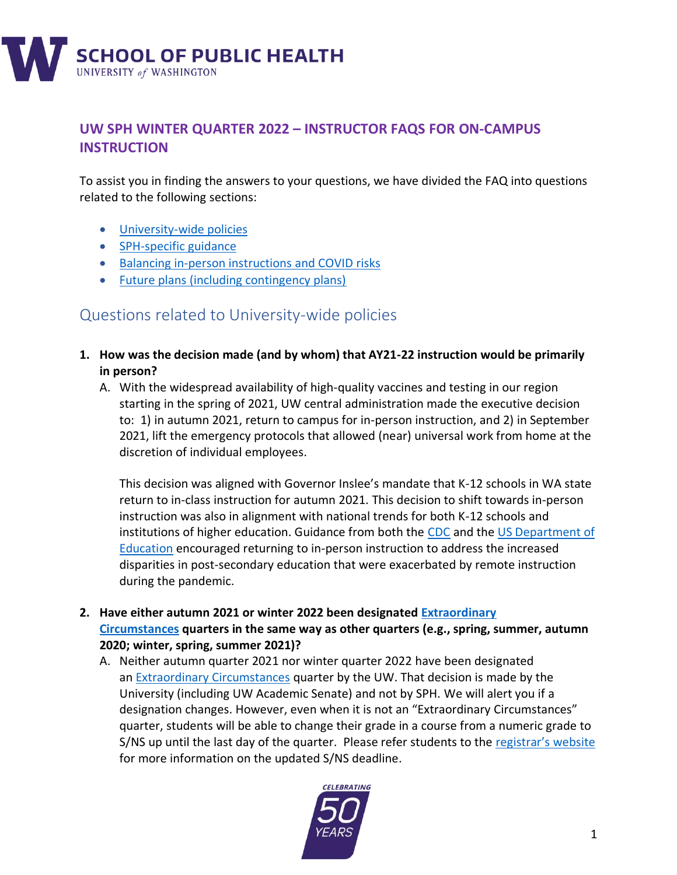

## **UW SPH WINTER QUARTER 2022 – INSTRUCTOR FAQS FOR ON-CAMPUS INSTRUCTION**

To assist you in finding the answers to your questions, we have divided the FAQ into questions related to the following sections:

- [University-wide policies](#page-0-0)
- [SPH-specific guidance](#page-2-0)
- [Balancing in-person instructions and COVID risks](#page-5-0)
- [Future plans \(including contingency plans\)](#page-9-0)

# <span id="page-0-0"></span>Questions related to University-wide policies

- **1. How was the decision made (and by whom) that AY21-22 instruction would be primarily in person?**
	- A. With the widespread availability of high-quality vaccines and testing in our region starting in the spring of 2021, UW central administration made the executive decision to: 1) in autumn 2021, return to campus for in-person instruction, and 2) in September 2021, lift the emergency protocols that allowed (near) universal work from home at the discretion of individual employees.

This decision was aligned with Governor Inslee's mandate that K-12 schools in WA state return to in-class instruction for autumn 2021. This decision to shift towards in-person instruction was also in alignment with national trends for both K-12 schools and institutions of higher education. Guidance from both the [CDC](https://www.cdc.gov/coronavirus/2019-ncov/community/colleges-universities/considerations.html) and th[e US Department of](https://www2.ed.gov/documents/coronavirus/reopening-3.pdf)  [Education](https://www2.ed.gov/documents/coronavirus/reopening-3.pdf) encouraged returning to in-person instruction to address the increased disparities in post-secondary education that were exacerbated by remote instruction during the pandemic.

- **2. Have either autumn 2021 or winter 2022 been designated [Extraordinary](https://registrar.washington.edu/students/ec-grading-change-request/)  [Circumstances](https://registrar.washington.edu/students/ec-grading-change-request/) quarters in the same way as other quarters (e.g., spring, summer, autumn 2020; winter, spring, summer 2021)?** 
	- A. Neither autumn quarter 2021 nor winter quarter 2022 have been designated an [Extraordinary Circumstances](https://registrar.washington.edu/students/ec-grading-change-request/) quarter by the UW. That decision is made by the University (including UW Academic Senate) and not by SPH. We will alert you if a designation changes. However, even when it is not an "Extraordinary Circumstances" quarter, students will be able to change their grade in a course from a numeric grade to S/NS up until the last day of the quarter. Please refer students to the [registrar's website](https://registrar.washington.edu/students/ec-grading-change-request/) for more information on the updated S/NS deadline.

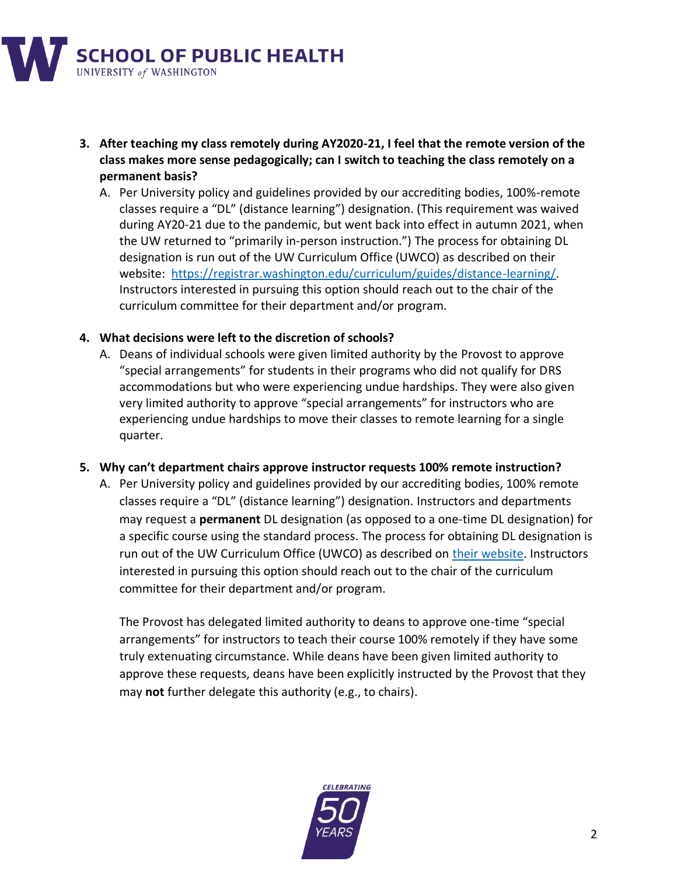

- **3. After teaching my class remotely during AY2020-21, I feel that the remote version of the class makes more sense pedagogically; can I switch to teaching the class remotely on a permanent basis?**
	- A. Per University policy and guidelines provided by our accrediting bodies, 100%-remote classes require a "DL" (distance learning") designation. (This requirement was waived during AY20-21 due to the pandemic, but went back into effect in autumn 2021, when the UW returned to "primarily in-person instruction.") The process for obtaining DL designation is run out of the UW Curriculum Office (UWCO) as described on their website: [https://registrar.washington.edu/curriculum/guides/distance-learning/.](https://registrar.washington.edu/curriculum/guides/distance-learning/) Instructors interested in pursuing this option should reach out to the chair of the curriculum committee for their department and/or program.

#### **4. What decisions were left to the discretion of schools?**

A. Deans of individual schools were given limited authority by the Provost to approve "special arrangements" for students in their programs who did not qualify for DRS accommodations but who were experiencing undue hardships. They were also given very limited authority to approve "special arrangements" for instructors who are experiencing undue hardships to move their classes to remote learning for a single quarter.

#### **5. Why can't department chairs approve instructor requests 100% remote instruction?**

A. Per University policy and guidelines provided by our accrediting bodies, 100% remote classes require a "DL" (distance learning") designation. Instructors and departments may request a **permanent** DL designation (as opposed to a one-time DL designation) for a specific course using the standard process. The process for obtaining DL designation is run out of the UW Curriculum Office (UWCO) as described on [their website.](https://registrar.washington.edu/curriculum/guides/distance-learning/) Instructors interested in pursuing this option should reach out to the chair of the curriculum committee for their department and/or program.

The Provost has delegated limited authority to deans to approve one-time "special arrangements" for instructors to teach their course 100% remotely if they have some truly extenuating circumstance. While deans have been given limited authority to approve these requests, deans have been explicitly instructed by the Provost that they may **not** further delegate this authority (e.g., to chairs).

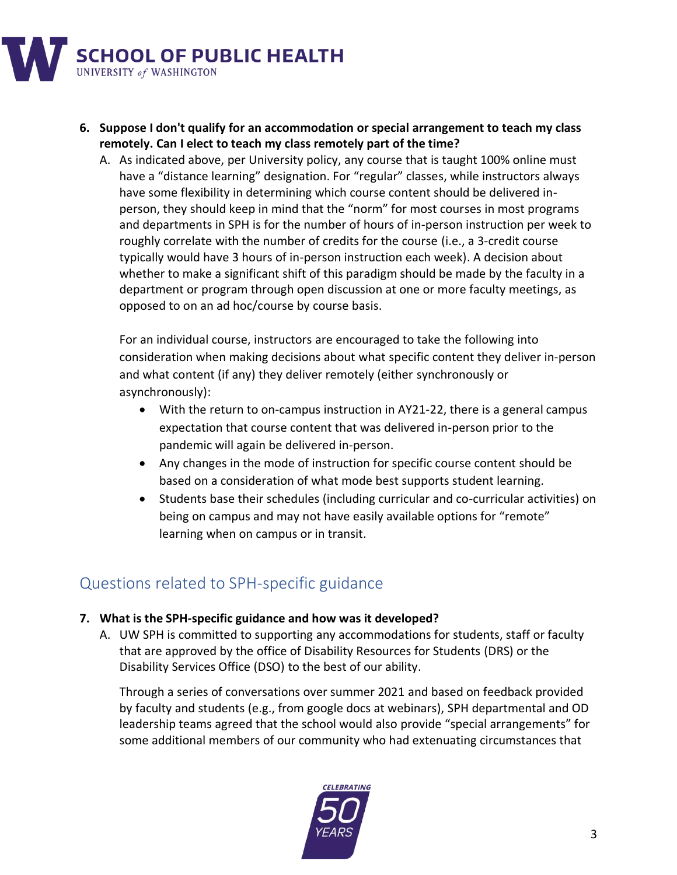

- **6. Suppose I don't qualify for an accommodation or special arrangement to teach my class remotely. Can I elect to teach my class remotely part of the time?**
	- A. As indicated above, per University policy, any course that is taught 100% online must have a "distance learning" designation. For "regular" classes, while instructors always have some flexibility in determining which course content should be delivered inperson, they should keep in mind that the "norm" for most courses in most programs and departments in SPH is for the number of hours of in-person instruction per week to roughly correlate with the number of credits for the course (i.e., a 3-credit course typically would have 3 hours of in-person instruction each week). A decision about whether to make a significant shift of this paradigm should be made by the faculty in a department or program through open discussion at one or more faculty meetings, as opposed to on an ad hoc/course by course basis.

For an individual course, instructors are encouraged to take the following into consideration when making decisions about what specific content they deliver in-person and what content (if any) they deliver remotely (either synchronously or asynchronously):

- With the return to on-campus instruction in AY21-22, there is a general campus expectation that course content that was delivered in-person prior to the pandemic will again be delivered in-person.
- Any changes in the mode of instruction for specific course content should be based on a consideration of what mode best supports student learning.
- Students base their schedules (including curricular and co-curricular activities) on being on campus and may not have easily available options for "remote" learning when on campus or in transit.

# <span id="page-2-0"></span>Questions related to SPH-specific guidance

### **7. What is the SPH-specific guidance and how was it developed?**

A. UW SPH is committed to supporting any accommodations for students, staff or faculty that are approved by the office of Disability Resources for Students (DRS) or the Disability Services Office (DSO) to the best of our ability.

Through a series of conversations over summer 2021 and based on feedback provided by faculty and students (e.g., from google docs at webinars), SPH departmental and OD leadership teams agreed that the school would also provide "special arrangements" for some additional members of our community who had extenuating circumstances that

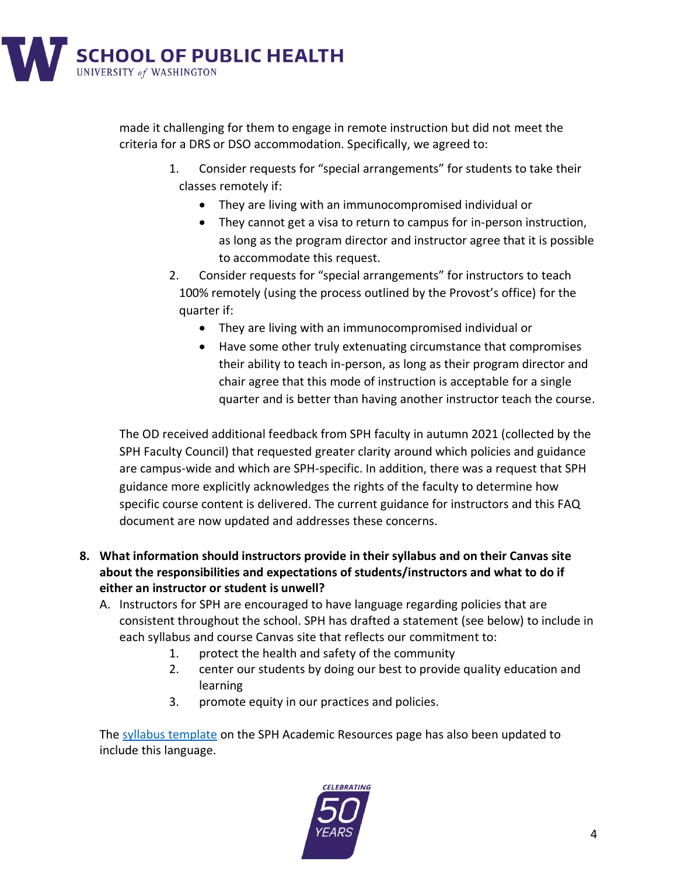

made it challenging for them to engage in remote instruction but did not meet the criteria for a DRS or DSO accommodation. Specifically, we agreed to:

- 1. Consider requests for "special arrangements" for students to take their classes remotely if:
	- They are living with an immunocompromised individual or
	- They cannot get a visa to return to campus for in-person instruction, as long as the program director and instructor agree that it is possible to accommodate this request.
- 2. Consider requests for "special arrangements" for instructors to teach 100% remotely (using the process outlined by the Provost's office) for the quarter if:
	- They are living with an immunocompromised individual or
	- Have some other truly extenuating circumstance that compromises their ability to teach in-person, as long as their program director and chair agree that this mode of instruction is acceptable for a single quarter and is better than having another instructor teach the course.

The OD received additional feedback from SPH faculty in autumn 2021 (collected by the SPH Faculty Council) that requested greater clarity around which policies and guidance are campus-wide and which are SPH-specific. In addition, there was a request that SPH guidance more explicitly acknowledges the rights of the faculty to determine how specific course content is delivered. The current guidance for instructors and this FAQ document are now updated and addresses these concerns.

- **8. What information should instructors provide in their syllabus and on their Canvas site about the responsibilities and expectations of students/instructors and what to do if either an instructor or student is unwell?**
	- A. Instructors for SPH are encouraged to have language regarding policies that are consistent throughout the school. SPH has drafted a statement (see below) to include in each syllabus and course Canvas site that reflects our commitment to:
		- 1. protect the health and safety of the community
		- 2. center our students by doing our best to provide quality education and learning
		- 3. promote equity in our practices and policies.

The [syllabus template](https://sph.washington.edu/sites/default/files/2021-09/SPH_Syllabus_Template_including_required_and_expected_statments_9.2021_v2.docx) on the SPH Academic Resources page has also been updated to include this language.

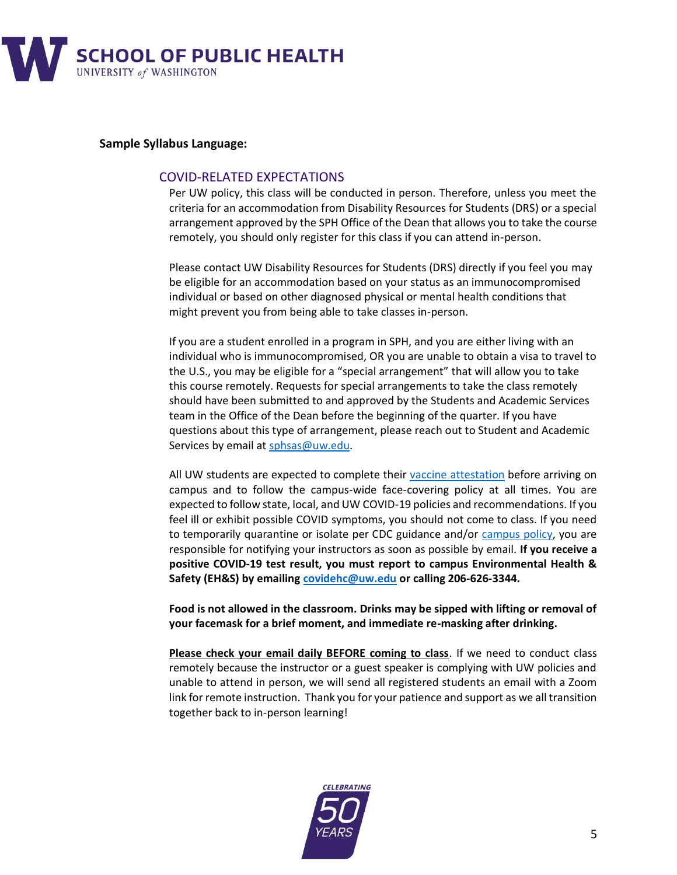

#### **Sample Syllabus Language:**

#### COVID-RELATED EXPECTATIONS

Per UW policy, this class will be conducted in person. Therefore, unless you meet the criteria for an accommodation from Disability Resources for Students (DRS) or a special arrangement approved by the SPH Office of the Dean that allows you to take the course remotely, you should only register for this class if you can attend in-person.

Please contact UW Disability Resources for Students (DRS) directly if you feel you may be eligible for an accommodation based on your status as an immunocompromised individual or based on other diagnosed physical or mental health conditions that might prevent you from being able to take classes in-person.

If you are a student enrolled in a program in SPH, and you are either living with an individual who is immunocompromised, OR you are unable to obtain a visa to travel to the U.S., you may be eligible for a "special arrangement" that will allow you to take this course remotely. Requests for special arrangements to take the class remotely should have been submitted to and approved by the Students and Academic Services team in the Office of the Dean before the beginning of the quarter. If you have questions about this type of arrangement, please reach out to Student and Academic Services by email a[t sphsas@uw.edu.](mailto:sphsas@uw.edu)

All UW students are expected to complete their [vaccine attestation](https://www.washington.edu/coronavirus/vaccination-requirement/) before arriving on campus and to follow the campus-wide face-covering policy at all times. You are expected to follow state, local, and UW COVID-19 policies and recommendations. If you feel ill or exhibit possible COVID symptoms, you should not come to class. If you need to temporarily quarantine or isolate per CDC guidance and/or [campus policy,](https://www.washington.edu/coronavirus/2021/08/31/autumn-quarter-health-and-safety-measures-message-to-uw-personnel/) you are responsible for notifying your instructors as soon as possible by email. **If you receive a positive COVID-19 test result, you must report to campus Environmental Health & Safety (EH&S) by emailing [covidehc@uw.edu](mailto:covidehc@uw.edu) or calling 206-626-3344.** 

**Food is not allowed in the classroom. Drinks may be sipped with lifting or removal of your facemask for a brief moment, and immediate re-masking after drinking.**

**Please check your email daily BEFORE coming to class**. If we need to conduct class remotely because the instructor or a guest speaker is complying with UW policies and unable to attend in person, we will send all registered students an email with a Zoom link for remote instruction. Thank you for your patience and support as we all transition together back to in-person learning!

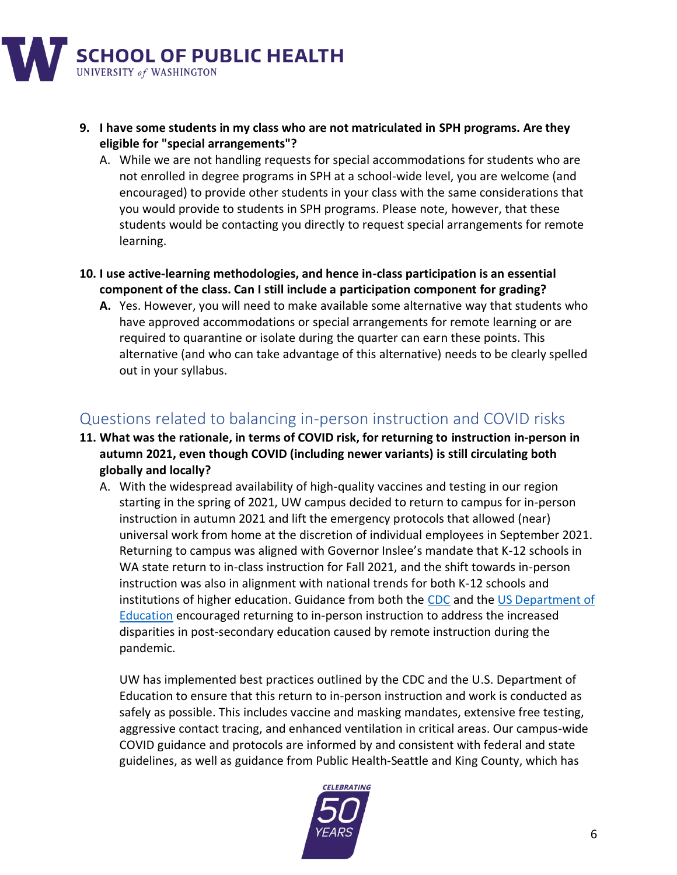

- **9. I have some students in my class who are not matriculated in SPH programs. Are they eligible for "special arrangements"?**
	- A. While we are not handling requests for special accommodations for students who are not enrolled in degree programs in SPH at a school-wide level, you are welcome (and encouraged) to provide other students in your class with the same considerations that you would provide to students in SPH programs. Please note, however, that these students would be contacting you directly to request special arrangements for remote learning.
- **10. I use active-learning methodologies, and hence in-class participation is an essential component of the class. Can I still include a participation component for grading?**
	- **A.** Yes. However, you will need to make available some alternative way that students who have approved accommodations or special arrangements for remote learning or are required to quarantine or isolate during the quarter can earn these points. This alternative (and who can take advantage of this alternative) needs to be clearly spelled out in your syllabus.

# <span id="page-5-0"></span>Questions related to balancing in-person instruction and COVID risks

- **11. What was the rationale, in terms of COVID risk, for returning to instruction in-person in autumn 2021, even though COVID (including newer variants) is still circulating both globally and locally?**
	- A. With the widespread availability of high-quality vaccines and testing in our region starting in the spring of 2021, UW campus decided to return to campus for in-person instruction in autumn 2021 and lift the emergency protocols that allowed (near) universal work from home at the discretion of individual employees in September 2021. Returning to campus was aligned with Governor Inslee's mandate that K-12 schools in WA state return to in-class instruction for Fall 2021, and the shift towards in-person instruction was also in alignment with national trends for both K-12 schools and institutions of higher education. Guidance from both the [CDC](https://www.cdc.gov/coronavirus/2019-ncov/community/colleges-universities/considerations.html) and th[e US Department of](https://www2.ed.gov/documents/coronavirus/reopening-3.pdf)  [Education](https://www2.ed.gov/documents/coronavirus/reopening-3.pdf) encouraged returning to in-person instruction to address the increased disparities in post-secondary education caused by remote instruction during the pandemic.

UW has implemented best practices outlined by the CDC and the U.S. Department of Education to ensure that this return to in-person instruction and work is conducted as safely as possible. This includes vaccine and masking mandates, extensive free testing, aggressive contact tracing, and enhanced ventilation in critical areas. Our campus-wide COVID guidance and protocols are informed by and consistent with federal and state guidelines, as well as guidance from Public Health-Seattle and King County, which has

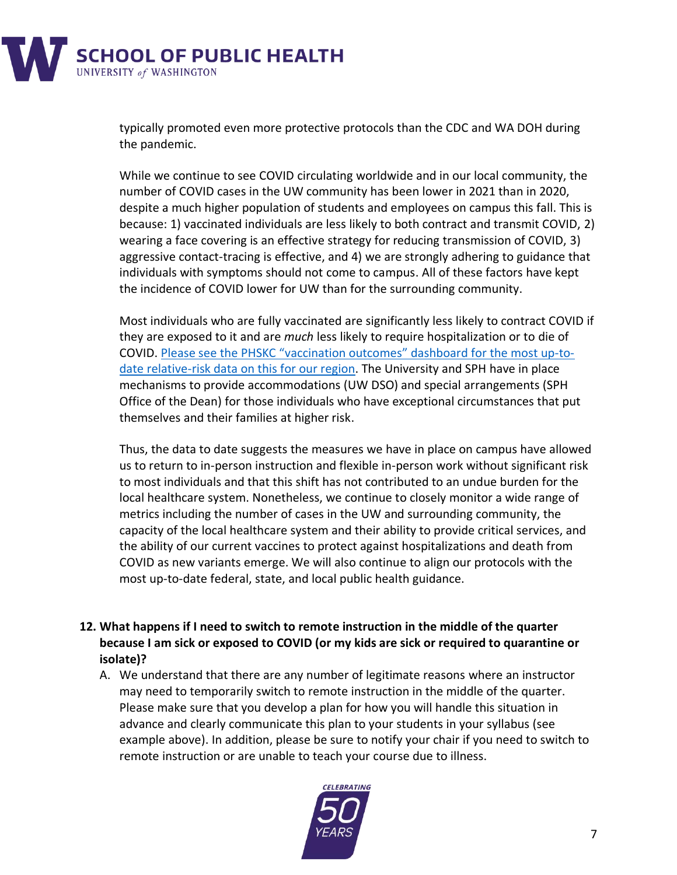

typically promoted even more protective protocols than the CDC and WA DOH during the pandemic.

While we continue to see COVID circulating worldwide and in our local community, the number of COVID cases in the UW community has been lower in 2021 than in 2020, despite a much higher population of students and employees on campus this fall. This is because: 1) vaccinated individuals are less likely to both contract and transmit COVID, 2) wearing a face covering is an effective strategy for reducing transmission of COVID, 3) aggressive contact-tracing is effective, and 4) we are strongly adhering to guidance that individuals with symptoms should not come to campus. All of these factors have kept the incidence of COVID lower for UW than for the surrounding community.

Most individuals who are fully vaccinated are significantly less likely to contract COVID if they are exposed to it and are *much* less likely to require hospitalization or to die of COVID. Please see the PHSKC "vaccination outcomes" [dashboard for the most up-to](https://kingcounty.gov/depts/health/covid-19/data/vaccination-outcomes.aspx)[date relative-risk data](https://kingcounty.gov/depts/health/covid-19/data/vaccination-outcomes.aspx) on this for our region. The University and SPH have in place mechanisms to provide accommodations (UW DSO) and special arrangements (SPH Office of the Dean) for those individuals who have exceptional circumstances that put themselves and their families at higher risk.

Thus, the data to date suggests the measures we have in place on campus have allowed us to return to in-person instruction and flexible in-person work without significant risk to most individuals and that this shift has not contributed to an undue burden for the local healthcare system. Nonetheless, we continue to closely monitor a wide range of metrics including the number of cases in the UW and surrounding community, the capacity of the local healthcare system and their ability to provide critical services, and the ability of our current vaccines to protect against hospitalizations and death from COVID as new variants emerge. We will also continue to align our protocols with the most up-to-date federal, state, and local public health guidance.

- **12. What happens if I need to switch to remote instruction in the middle of the quarter because I am sick or exposed to COVID (or my kids are sick or required to quarantine or isolate)?**
	- A. We understand that there are any number of legitimate reasons where an instructor may need to temporarily switch to remote instruction in the middle of the quarter. Please make sure that you develop a plan for how you will handle this situation in advance and clearly communicate this plan to your students in your syllabus (see example above). In addition, please be sure to notify your chair if you need to switch to remote instruction or are unable to teach your course due to illness.

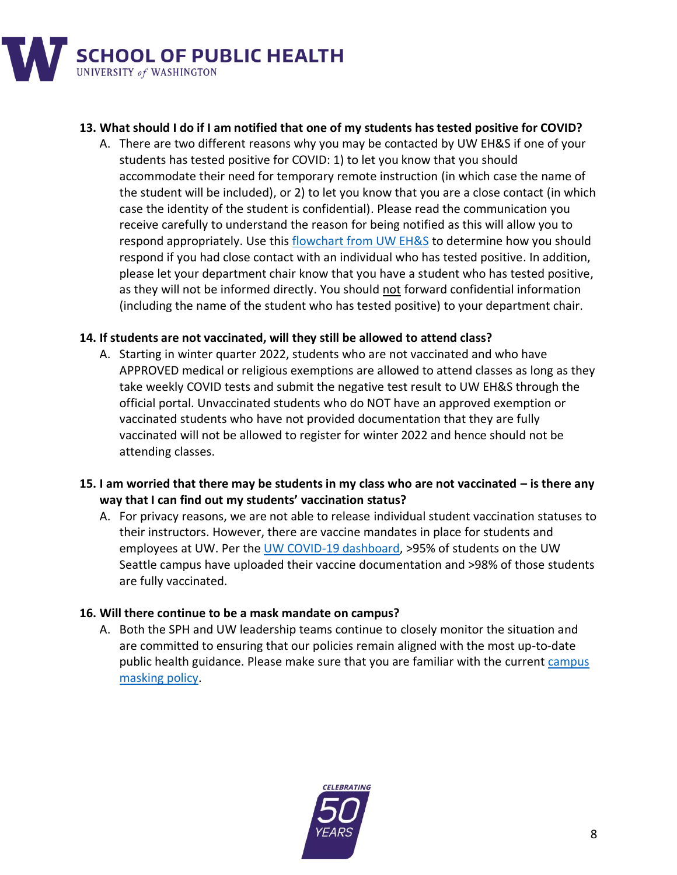

### **13. What should I do if I am notified that one of my students has tested positive for COVID?**

A. There are two different reasons why you may be contacted by UW EH&S if one of your students has tested positive for COVID: 1) to let you know that you should accommodate their need for temporary remote instruction (in which case the name of the student will be included), or 2) to let you know that you are a close contact (in which case the identity of the student is confidential). Please read the communication you receive carefully to understand the reason for being notified as this will allow you to respond appropriately. Use this [flowchart from UW EH&S](https://www.ehs.washington.edu/system/files/resources/COVID-19-public-health-flowchart.pdf) to determine how you should respond if you had close contact with an individual who has tested positive. In addition, please let your department chair know that you have a student who has tested positive, as they will not be informed directly. You should not forward confidential information (including the name of the student who has tested positive) to your department chair.

### **14. If students are not vaccinated, will they still be allowed to attend class?**

- A. Starting in winter quarter 2022, students who are not vaccinated and who have APPROVED medical or religious exemptions are allowed to attend classes as long as they take weekly COVID tests and submit the negative test result to UW EH&S through the official portal. Unvaccinated students who do NOT have an approved exemption or vaccinated students who have not provided documentation that they are fully vaccinated will not be allowed to register for winter 2022 and hence should not be attending classes.
- **15. I am worried that there may be students in my class who are not vaccinated – is there any way that I can find out my students' vaccination status?**
	- A. For privacy reasons, we are not able to release individual student vaccination statuses to their instructors. However, there are vaccine mandates in place for students and employees at UW. Per th[e UW COVID-19 dashboard,](https://www.washington.edu/coronavirus/testing-results/) >95% of students on the UW Seattle campus have uploaded their vaccine documentation and >98% of those students are fully vaccinated.

#### **16. Will there continue to be a mask mandate on campus?**

A. Both the SPH and UW leadership teams continue to closely monitor the situation and are committed to ensuring that our policies remain aligned with the most up-to-date public health guidance. Please make sure that you are familiar with the current campus [masking policy.](https://www.ehs.washington.edu/covid-19-prevention-and-response/face-covering-requirements)

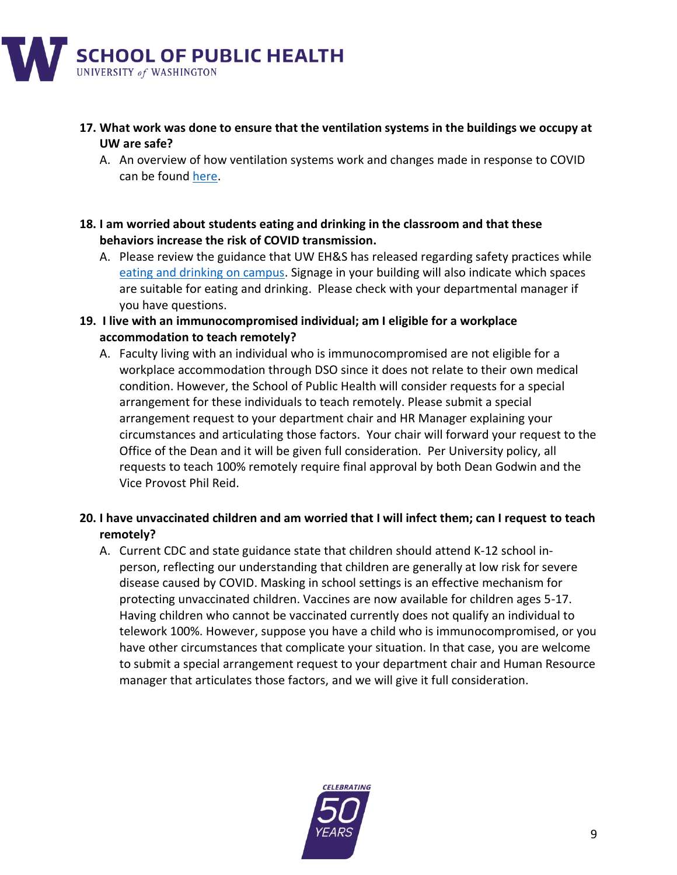

### **17. What work was done to ensure that the ventilation systems in the buildings we occupy at UW are safe?**

A. An overview of how ventilation systems work and changes made in response to COVID can be found [here.](https://facilities.uw.edu/news/how-ventilation-uw-buildings-works)

### **18. I am worried about students eating and drinking in the classroom and that these behaviors increase the risk of COVID transmission.**

A. Please review the guidance that UW EH&S has released regarding safety practices while [eating and drinking on campus.](https://www.ehs.washington.edu/system/files/resources/eating-space-guidance.pdf) Signage in your building will also indicate which spaces are suitable for eating and drinking. Please check with your departmental manager if you have questions.

### **19. I live with an immunocompromised individual; am I eligible for a workplace accommodation to teach remotely?**

A. Faculty living with an individual who is immunocompromised are not eligible for a workplace accommodation through DSO since it does not relate to their own medical condition. However, the School of Public Health will consider requests for a special arrangement for these individuals to teach remotely. Please submit a special arrangement request to your department chair and HR Manager explaining your circumstances and articulating those factors. Your chair will forward your request to the Office of the Dean and it will be given full consideration. Per University policy, all requests to teach 100% remotely require final approval by both Dean Godwin and the Vice Provost Phil Reid.

### **20. I have unvaccinated children and am worried that I will infect them; can I request to teach remotely?**

A. Current CDC and state guidance state that children should attend K-12 school inperson, reflecting our understanding that children are generally at low risk for severe disease caused by COVID. Masking in school settings is an effective mechanism for protecting unvaccinated children. Vaccines are now available for children ages 5-17. Having children who cannot be vaccinated currently does not qualify an individual to telework 100%. However, suppose you have a child who is immunocompromised, or you have other circumstances that complicate your situation. In that case, you are welcome to submit a special arrangement request to your department chair and Human Resource manager that articulates those factors, and we will give it full consideration.